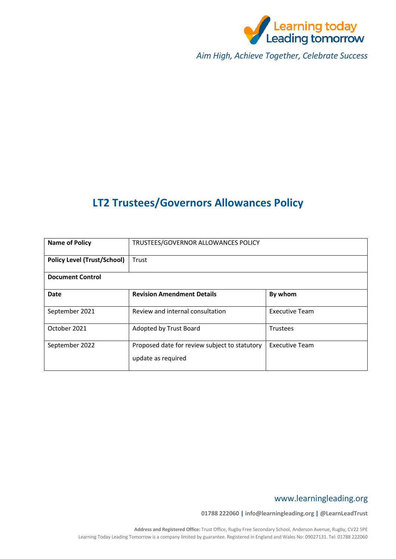

*Aim High, Achieve Together, Celebrate Success*

# **LT2 Trustees/Governors Allowances Policy**

| <b>Name of Policy</b>              | TRUSTEES/GOVERNOR ALLOWANCES POLICY                                 |                       |  |
|------------------------------------|---------------------------------------------------------------------|-----------------------|--|
| <b>Policy Level (Trust/School)</b> | Trust                                                               |                       |  |
| <b>Document Control</b>            |                                                                     |                       |  |
| <b>Date</b>                        | <b>Revision Amendment Details</b>                                   | By whom               |  |
| September 2021                     | Review and internal consultation                                    | <b>Executive Team</b> |  |
| October 2021                       | Adopted by Trust Board                                              | <b>Trustees</b>       |  |
| September 2022                     | Proposed date for review subject to statutory<br>update as required | <b>Executive Team</b> |  |

# www.learningleading.org

**01788 222060 | info@learningleading.org | @LearnLeadTrust**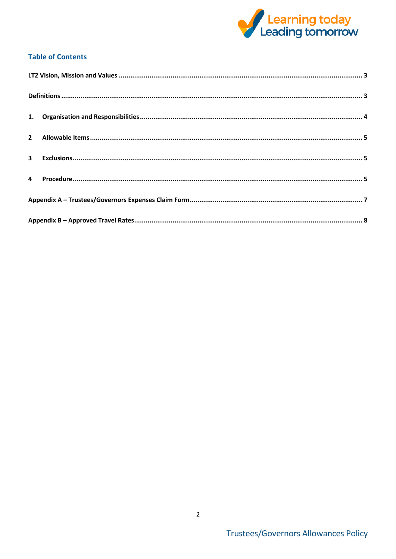

# **Table of Contents**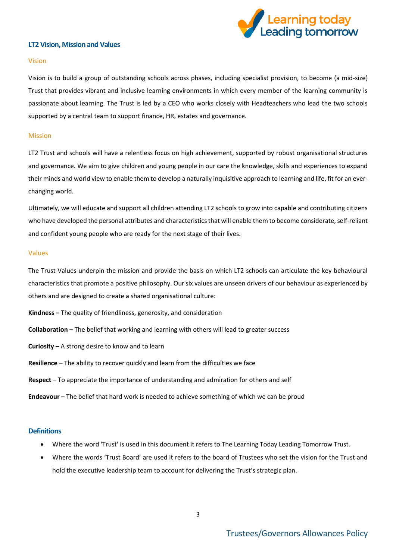

#### <span id="page-2-0"></span>**LT2 Vision, Mission and Values**

#### Vision

Vision is to build a group of outstanding schools across phases, including specialist provision, to become (a mid-size) Trust that provides vibrant and inclusive learning environments in which every member of the learning community is passionate about learning. The Trust is led by a CEO who works closely with Headteachers who lead the two schools supported by a central team to support finance, HR, estates and governance.

#### Mission

LT2 Trust and schools will have a relentless focus on high achievement, supported by robust organisational structures and governance. We aim to give children and young people in our care the knowledge, skills and experiences to expand their minds and world view to enable them to develop a naturally inquisitive approach to learning and life, fit for an everchanging world.

Ultimately, we will educate and support all children attending LT2 schools to grow into capable and contributing citizens who have developed the personal attributes and characteristics that will enable them to become considerate, self-reliant and confident young people who are ready for the next stage of their lives.

#### Values

The Trust Values underpin the mission and provide the basis on which LT2 schools can articulate the key behavioural characteristics that promote a positive philosophy. Our six values are unseen drivers of our behaviour as experienced by others and are designed to create a shared organisational culture:

**Kindness –** The quality of friendliness, generosity, and consideration

**Collaboration** – The belief that working and learning with others will lead to greater success

**Curiosity –** A strong desire to know and to learn

**Resilience** – The ability to recover quickly and learn from the difficulties we face

**Respect** – To appreciate the importance of understanding and admiration for others and self

**Endeavour** – The belief that hard work is needed to achieve something of which we can be proud

#### <span id="page-2-1"></span>**Definitions**

- Where the word 'Trust' is used in this document it refers to The Learning Today Leading Tomorrow Trust.
- Where the words 'Trust Board' are used it refers to the board of Trustees who set the vision for the Trust and hold the executive leadership team to account for delivering the Trust's strategic plan.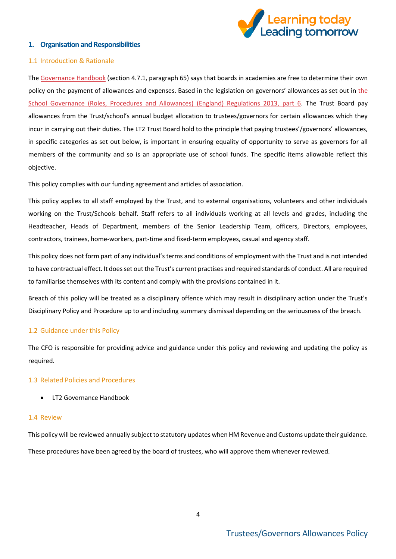

#### <span id="page-3-0"></span>**1. Organisation and Responsibilities**

#### 1.1 Introduction & Rationale

The [Governance Handbook](https://www.gov.uk/government/uploads/system/uploads/attachment_data/file/582868/Governance_Handbook_-_January_2017.pdf) (section 4.7.1, paragraph 65) says that boards in academies are free to determine their own policy on the payment of allowances and expenses. Based in the legislation on governors' allowances as set out in [the](https://www.legislation.gov.uk/uksi/2013/1624/part/6/made)  [School Governance \(Roles, Procedures and Allowances\) \(England\) Regulations 2013, part 6.](https://www.legislation.gov.uk/uksi/2013/1624/part/6/made) The Trust Board pay allowances from the Trust/school's annual budget allocation to trustees/governors for certain allowances which they incur in carrying out their duties. The LT2 Trust Board hold to the principle that paying trustees'/governors' allowances, in specific categories as set out below, is important in ensuring equality of opportunity to serve as governors for all members of the community and so is an appropriate use of school funds. The specific items allowable reflect this objective.

This policy complies with our funding agreement and articles of association.

This policy applies to all staff employed by the Trust, and to external organisations, volunteers and other individuals working on the Trust/Schools behalf. Staff refers to all individuals working at all levels and grades, including the Headteacher, Heads of Department, members of the Senior Leadership Team, officers, Directors, employees, contractors, trainees, home-workers, part-time and fixed-term employees, casual and agency staff.

This policy does not form part of any individual's terms and conditions of employment with the Trust and is not intended to have contractual effect. It does set out the Trust's current practises and required standards of conduct. All are required to familiarise themselves with its content and comply with the provisions contained in it.

Breach of this policy will be treated as a disciplinary offence which may result in disciplinary action under the Trust's Disciplinary Policy and Procedure up to and including summary dismissal depending on the seriousness of the breach.

#### 1.2 Guidance under this Policy

The CFO is responsible for providing advice and guidance under this policy and reviewing and updating the policy as required.

#### 1.3 Related Policies and Procedures

• LT2 Governance Handbook

#### 1.4 Review

This policy will be reviewed annually subject to statutory updates when HM Revenue and Customs update their guidance. These procedures have been agreed by the board of trustees, who will approve them whenever reviewed.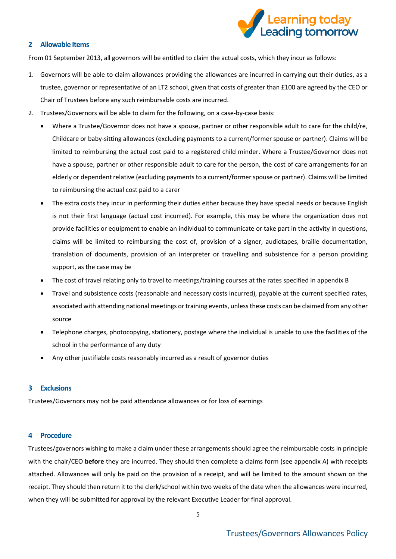

#### <span id="page-4-0"></span>**2 Allowable Items**

From 01 September 2013, all governors will be entitled to claim the actual costs, which they incur as follows:

- 1. Governors will be able to claim allowances providing the allowances are incurred in carrying out their duties, as a trustee, governor or representative of an LT2 school, given that costs of greater than £100 are agreed by the CEO or Chair of Trustees before any such reimbursable costs are incurred.
- 2. Trustees/Governors will be able to claim for the following, on a case-by-case basis:
	- Where a Trustee/Governor does not have a spouse, partner or other responsible adult to care for the child/re, Childcare or baby-sitting allowances (excluding payments to a current/former spouse or partner). Claims will be limited to reimbursing the actual cost paid to a registered child minder. Where a Trustee/Governor does not have a spouse, partner or other responsible adult to care for the person, the cost of care arrangements for an elderly or dependent relative (excluding payments to a current/former spouse or partner). Claims will be limited to reimbursing the actual cost paid to a carer
	- The extra costs they incur in performing their duties either because they have special needs or because English is not their first language (actual cost incurred). For example, this may be where the organization does not provide facilities or equipment to enable an individual to communicate or take part in the activity in questions, claims will be limited to reimbursing the cost of, provision of a signer, audiotapes, braille documentation, translation of documents, provision of an interpreter or travelling and subsistence for a person providing support, as the case may be
	- The cost of travel relating only to travel to meetings/training courses at the rates specified in appendix B
	- Travel and subsistence costs (reasonable and necessary costs incurred), payable at the current specified rates, associated with attending national meetings or training events, unless these costs can be claimed from any other source
	- Telephone charges, photocopying, stationery, postage where the individual is unable to use the facilities of the school in the performance of any duty
	- Any other justifiable costs reasonably incurred as a result of governor duties

### <span id="page-4-1"></span>**3 Exclusions**

Trustees/Governors may not be paid attendance allowances or for loss of earnings

#### <span id="page-4-2"></span>**4 Procedure**

Trustees/governors wishing to make a claim under these arrangements should agree the reimbursable costs in principle with the chair/CEO **before** they are incurred. They should then complete a claims form (see appendix A) with receipts attached. Allowances will only be paid on the provision of a receipt, and will be limited to the amount shown on the receipt. They should then return it to the clerk/school within two weeks of the date when the allowances were incurred, when they will be submitted for approval by the relevant Executive Leader for final approval.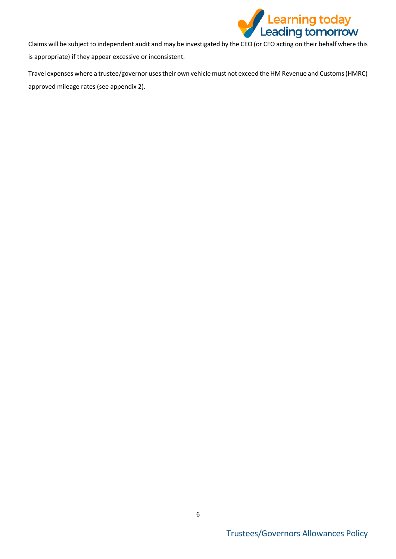

Claims will be subject to independent audit and may be investigated by the CEO (or CFO acting on their behalf where this is appropriate) if they appear excessive or inconsistent.

Travel expenses where a trustee/governor uses their own vehicle must not exceed the HM Revenue and Customs (HMRC) approved mileage rates (see appendix 2).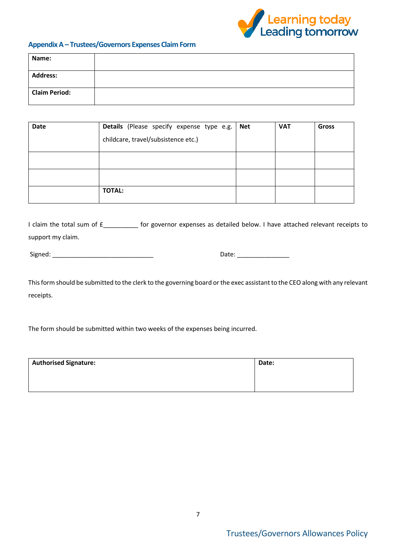

## <span id="page-6-0"></span>**Appendix A – Trustees/Governors Expenses Claim Form**

| Name:                |  |
|----------------------|--|
| <b>Address:</b>      |  |
| <b>Claim Period:</b> |  |

| Date | Details (Please specify expense type e.g.<br>childcare, travel/subsistence etc.) | <b>Net</b> | <b>VAT</b> | <b>Gross</b> |
|------|----------------------------------------------------------------------------------|------------|------------|--------------|
|      |                                                                                  |            |            |              |
|      |                                                                                  |            |            |              |
|      | <b>TOTAL:</b>                                                                    |            |            |              |

I claim the total sum of  $f_{\text{max}}$  for governor expenses as detailed below. I have attached relevant receipts to support my claim.

| Signed: |
|---------|
|---------|

Signed: \_\_\_\_\_\_\_\_\_\_\_\_\_\_\_\_\_\_\_\_\_\_\_\_\_\_\_\_\_ Date: \_\_\_\_\_\_\_\_\_\_\_\_\_\_\_

This form should be submitted to the clerk to the governing board or the exec assistant to the CEO along with any relevant receipts.

The form should be submitted within two weeks of the expenses being incurred.

| <b>Authorised Signature:</b> | Date: |
|------------------------------|-------|
|                              |       |
|                              |       |